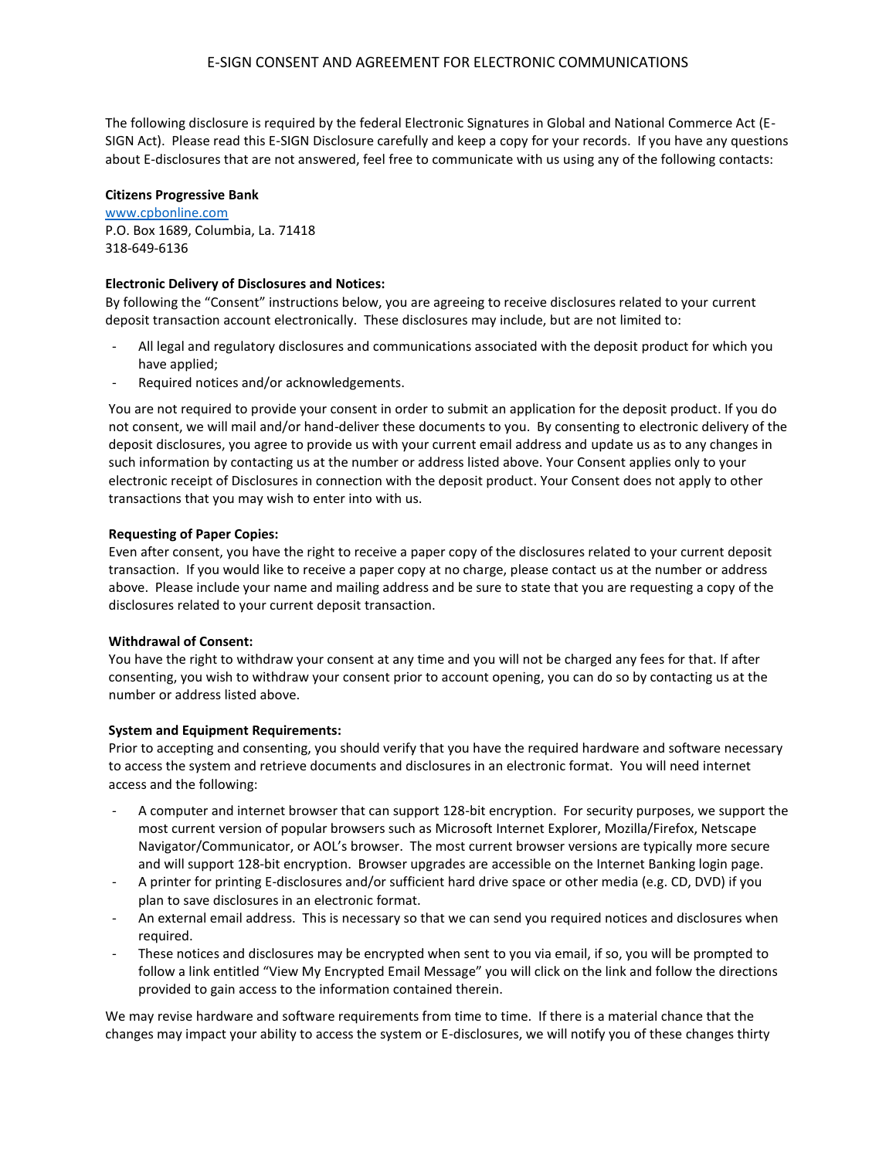The following disclosure is required by the federal Electronic Signatures in Global and National Commerce Act (E-SIGN Act). Please read this E-SIGN Disclosure carefully and keep a copy for your records. If you have any questions about E-disclosures that are not answered, feel free to communicate with us using any of the following contacts:

#### **Citizens Progressive Bank**

[www.cpbonline.com](http://www.cpbonline.com/) P.O. Box 1689, Columbia, La. 71418 318-649-6136

# **Electronic Delivery of Disclosures and Notices:**

By following the "Consent" instructions below, you are agreeing to receive disclosures related to your current deposit transaction account electronically. These disclosures may include, but are not limited to:

- All legal and regulatory disclosures and communications associated with the deposit product for which you have applied;
- Required notices and/or acknowledgements.

You are not required to provide your consent in order to submit an application for the deposit product. If you do not consent, we will mail and/or hand-deliver these documents to you. By consenting to electronic delivery of the deposit disclosures, you agree to provide us with your current email address and update us as to any changes in such information by contacting us at the number or address listed above. Your Consent applies only to your electronic receipt of Disclosures in connection with the deposit product. Your Consent does not apply to other transactions that you may wish to enter into with us.

## **Requesting of Paper Copies:**

Even after consent, you have the right to receive a paper copy of the disclosures related to your current deposit transaction. If you would like to receive a paper copy at no charge, please contact us at the number or address above. Please include your name and mailing address and be sure to state that you are requesting a copy of the disclosures related to your current deposit transaction.

#### **Withdrawal of Consent:**

You have the right to withdraw your consent at any time and you will not be charged any fees for that. If after consenting, you wish to withdraw your consent prior to account opening, you can do so by contacting us at the number or address listed above.

# **System and Equipment Requirements:**

Prior to accepting and consenting, you should verify that you have the required hardware and software necessary to access the system and retrieve documents and disclosures in an electronic format. You will need internet access and the following:

- A computer and internet browser that can support 128-bit encryption. For security purposes, we support the most current version of popular browsers such as Microsoft Internet Explorer, Mozilla/Firefox, Netscape Navigator/Communicator, or AOL's browser. The most current browser versions are typically more secure and will support 128-bit encryption. Browser upgrades are accessible on the Internet Banking login page.
- A printer for printing E-disclosures and/or sufficient hard drive space or other media (e.g. CD, DVD) if you plan to save disclosures in an electronic format.
- An external email address. This is necessary so that we can send you required notices and disclosures when required.
- These notices and disclosures may be encrypted when sent to you via email, if so, you will be prompted to follow a link entitled "View My Encrypted Email Message" you will click on the link and follow the directions provided to gain access to the information contained therein.

We may revise hardware and software requirements from time to time. If there is a material chance that the changes may impact your ability to access the system or E-disclosures, we will notify you of these changes thirty